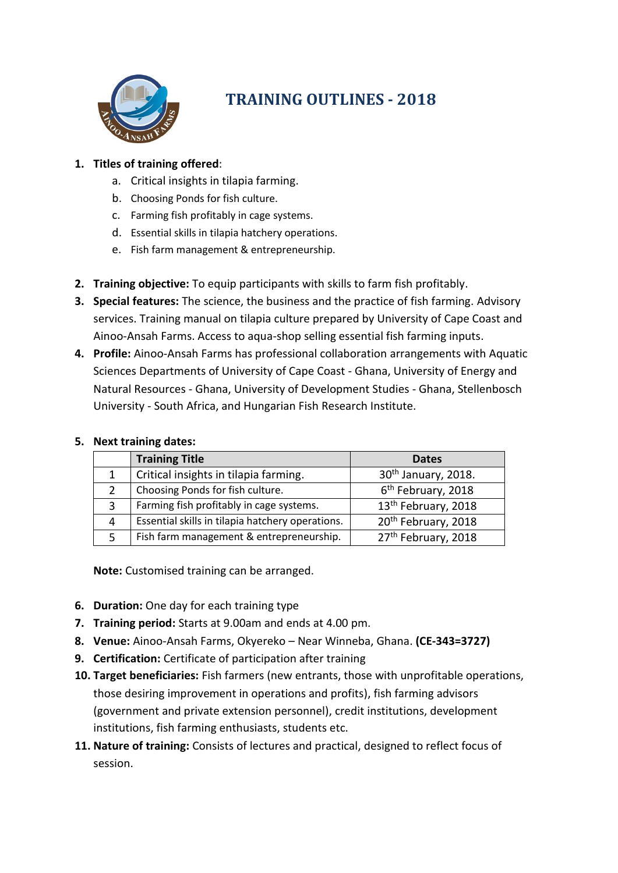

# **TRAINING OUTLINES - 2018**

## **1. Titles of training offered**:

- a. Critical insights in tilapia farming.
- b. Choosing Ponds for fish culture.
- c. Farming fish profitably in cage systems.
- d. Essential skills in tilapia hatchery operations.
- e. Fish farm management & entrepreneurship.
- **2. Training objective:** To equip participants with skills to farm fish profitably.
- **3. Special features:** The science, the business and the practice of fish farming. Advisory services. Training manual on tilapia culture prepared by University of Cape Coast and Ainoo-Ansah Farms. Access to aqua-shop selling essential fish farming inputs.
- **4. Profile:** Ainoo-Ansah Farms has professional collaboration arrangements with Aquatic Sciences Departments of University of Cape Coast - Ghana, University of Energy and Natural Resources - Ghana, University of Development Studies - Ghana, Stellenbosch University - South Africa, and Hungarian Fish Research Institute.

|   | <b>Training Title</b>                            | <b>Dates</b>                    |
|---|--------------------------------------------------|---------------------------------|
|   | Critical insights in tilapia farming.            | 30 <sup>th</sup> January, 2018. |
| 2 | Choosing Ponds for fish culture.                 | 6 <sup>th</sup> February, 2018  |
| 3 | Farming fish profitably in cage systems.         | 13 <sup>th</sup> February, 2018 |
| 4 | Essential skills in tilapia hatchery operations. | 20th February, 2018             |
|   | Fish farm management & entrepreneurship.         | 27th February, 2018             |

#### **5. Next training dates:**

**Note:** Customised training can be arranged.

- **6. Duration:** One day for each training type
- **7. Training period:** Starts at 9.00am and ends at 4.00 pm.
- **8. Venue:** Ainoo-Ansah Farms, Okyereko Near Winneba, Ghana. **(CE-343=3727)**
- **9. Certification:** Certificate of participation after training
- **10. Target beneficiaries:** Fish farmers (new entrants, those with unprofitable operations, those desiring improvement in operations and profits), fish farming advisors (government and private extension personnel), credit institutions, development institutions, fish farming enthusiasts, students etc.
- **11. Nature of training:** Consists of lectures and practical, designed to reflect focus of session.